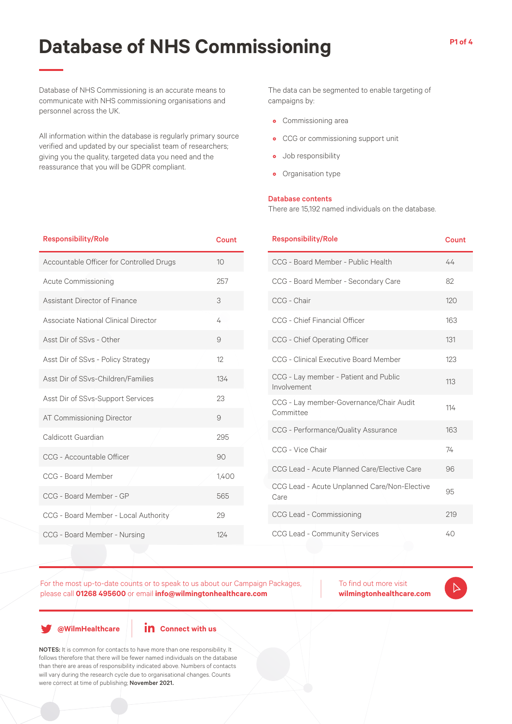# **Database of NHS Commissioning**

Database of NHS Commissioning is an accurate means to communicate with NHS commissioning organisations and personnel across the UK.

All information within the database is regularly primary source verified and updated by our specialist team of researchers; giving you the quality, targeted data you need and the reassurance that you will be GDPR compliant.

The data can be segmented to enable targeting of campaigns by:

- Commissioning area
- CCG or commissioning support unit
- Job responsibility
- Organisation type

#### Database contents

There are 15,192 named individuals on the database.

| <b>Responsibility/Role</b>               | Count |  |
|------------------------------------------|-------|--|
| Accountable Officer for Controlled Drugs | 10    |  |
| <b>Acute Commissioning</b>               | 257   |  |
| Assistant Director of Finance            | 3     |  |
| Associate National Clinical Director     | 4     |  |
| Asst Dir of SSvs - Other                 | 9     |  |
| Asst Dir of SSvs - Policy Strategy       | 12    |  |
| Asst Dir of SSvs-Children/Families       | 134   |  |
| Asst Dir of SSvs-Support Services        | 23    |  |
| AT Commissioning Director                | 9     |  |
| Caldicott Guardian                       | 295   |  |
| CCG - Accountable Officer                | 90    |  |
| CCG - Board Member                       | 1,400 |  |
| CCG - Board Member - GP                  | 565   |  |
| CCG - Board Member - Local Authority     | 29    |  |
| CCG - Board Member - Nursing             | 124   |  |

| <b>Responsibility/Role</b>                           | Count |
|------------------------------------------------------|-------|
| CCG - Board Member - Public Health                   | 44    |
| CCG - Board Member - Secondary Care                  | 82    |
| CCG - Chair                                          | 120   |
| <b>CCG</b> - Chief Financial Officer                 | 163   |
| CCG - Chief Operating Officer                        | 131   |
| CCG - Clinical Executive Board Member                | 123   |
| CCG - Lay member - Patient and Public<br>Involvement | 113   |
| CCG - Lay member-Governance/Chair Audit<br>Committee | 114   |
| CCG - Performance/Quality Assurance                  | 163   |
| CCG - Vice Chair                                     | 74    |
| CCG Lead - Acute Planned Care/Elective Care          | 96    |
| CCG Lead - Acute Unplanned Care/Non-Elective<br>Care | 95    |
| CCG Lead - Commissioning                             | 219   |
| CCG Lead - Community Services                        | 40    |

For the most up-to-date counts or to speak to us about our Campaign Packages, please call **01268 495600** or email **info@wilmingtonhealthcare.com**

To find out more visit **wilmingtonhealthcare.com**

**@WilmHealthcare**

**in** Connect with us

NOTES: It is common for contacts to have more than one responsibility. It follows therefore that there will be fewer named individuals on the database than there are areas of responsibility indicated above. Numbers of contacts will vary during the research cycle due to organisational changes. Counts were correct at time of publishing; November 2021.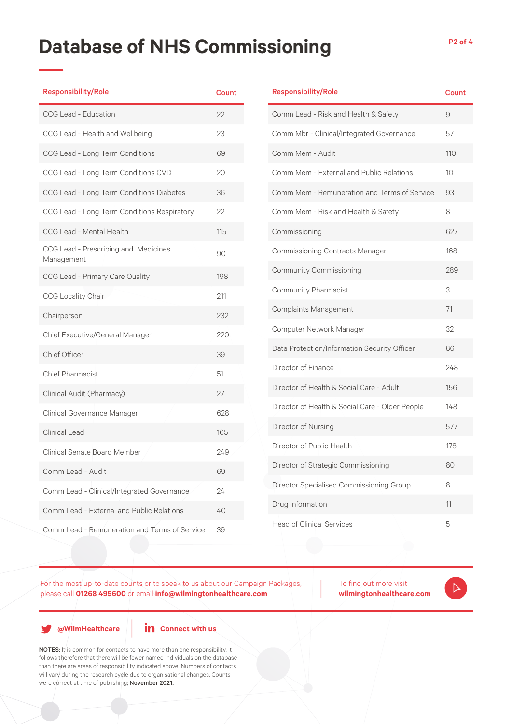### **Database of NHS Commissioning P2 of 4**

| <b>Responsibility/Role</b>                         | Count |
|----------------------------------------------------|-------|
| CCG Lead - Education                               | 22    |
| CCG Lead - Health and Wellbeing                    | 23    |
| CCG Lead - Long Term Conditions                    | 69    |
| CCG Lead - Long Term Conditions CVD                | 20    |
| CCG Lead - Long Term Conditions Diabetes           | 36    |
| CCG Lead - Long Term Conditions Respiratory        | 22    |
| CCG Lead - Mental Health                           | 115   |
| CCG Lead - Prescribing and Medicines<br>Management | 90    |
| CCG Lead - Primary Care Quality                    | 198   |
| <b>CCG Locality Chair</b>                          | 211   |
| Chairperson                                        | 232   |
| Chief Executive/General Manager                    | 220   |
| Chief Officer                                      | 39    |
| <b>Chief Pharmacist</b>                            | 51    |
| Clinical Audit (Pharmacy)                          | 27    |
| Clinical Governance Manager                        | 628   |
| <b>Clinical Lead</b>                               | 165   |
| <b>Clinical Senate Board Member</b>                | 249   |
| Comm Lead - Audit                                  | 69    |
| Comm Lead - Clinical/Integrated Governance         | 24    |
| Comm Lead - External and Public Relations          | 40    |
| Comm Lead - Remuneration and Terms of Service      | 39    |

| <b>Responsibility/Role</b>                      | <b>Count</b>    |
|-------------------------------------------------|-----------------|
| Comm Lead - Risk and Health & Safety            | 9               |
| Comm Mbr - Clinical/Integrated Governance       | 57              |
| Comm Mem - Audit                                | 110             |
| Comm Mem - External and Public Relations        | 10 <sup>°</sup> |
| Comm Mem - Remuneration and Terms of Service    | 93              |
| Comm Mem - Risk and Health & Safety             | 8               |
| Commissioning                                   | 627             |
| <b>Commissioning Contracts Manager</b>          | 168             |
| <b>Community Commissioning</b>                  | 289             |
| Community Pharmacist                            | 3               |
| Complaints Management                           | 71              |
| Computer Network Manager                        | 32              |
| Data Protection/Information Security Officer    | 86              |
| Director of Finance                             | 248             |
| Director of Health & Social Care - Adult        | 156             |
| Director of Health & Social Care - Older People | 148             |
| Director of Nursing                             | 577             |
| Director of Public Health                       | 178             |
| Director of Strategic Commissioning             | 80              |
| Director Specialised Commissioning Group        | 8               |
| Drug Information                                | 11              |
| <b>Head of Clinical Services</b>                | 5               |

For the most up-to-date counts or to speak to us about our Campaign Packages, please call **01268 495600** or email **info@wilmingtonhealthcare.com**

To find out more visit **wilmingtonhealthcare.com**

 $\triangleright$ 

**@WilmHealthcare**

**in** Connect with us

NOTES: It is common for contacts to have more than one responsibility. It follows therefore that there will be fewer named individuals on the database than there are areas of responsibility indicated above. Numbers of contacts will vary during the research cycle due to organisational changes. Counts were correct at time of publishing; November 2021.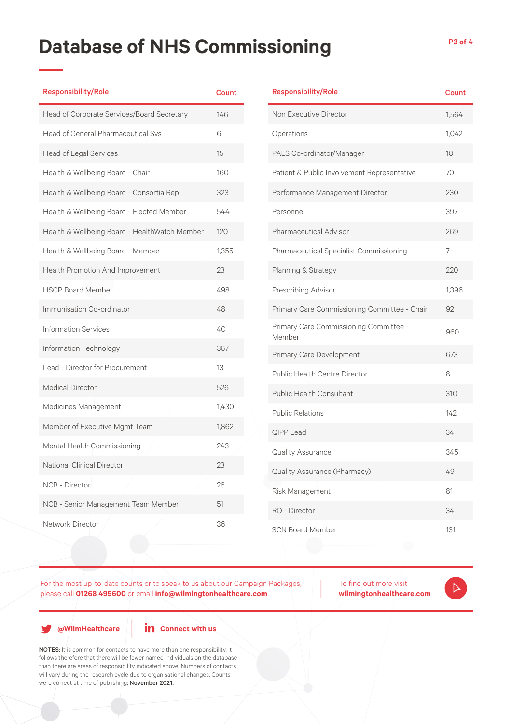## **Database of NHS Commissioning P3 of 4**

| <b>Responsibility/Role</b>                    | <b>Count</b> |
|-----------------------------------------------|--------------|
| Head of Corporate Services/Board Secretary    | 146          |
| <b>Head of General Pharmaceutical Svs</b>     | 6            |
| <b>Head of Legal Services</b>                 | 15           |
| Health & Wellbeing Board - Chair              | 160          |
| Health & Wellbeing Board - Consortia Rep      | 323          |
| Health & Wellbeing Board - Elected Member     | 544          |
| Health & Wellbeing Board - HealthWatch Member | 120          |
| Health & Wellbeing Board - Member             | 1,355        |
| Health Promotion And Improvement              | 23           |
| <b>HSCP Board Member</b>                      | 498          |
| Immunisation Co-ordinator                     | 48           |
| <b>Information Services</b>                   | 40           |
| Information Technology                        | 367          |
| Lead - Director for Procurement               | 13           |
| <b>Medical Director</b>                       | 526          |
| Medicines Management                          | 1,430        |
| Member of Executive Mgmt Team                 | 1,862        |
| Mental Health Commissioning                   | 243          |
| National Clinical Director                    | 23           |
| <b>NCB - Director</b>                         | 26           |
| NCB - Senior Management Team Member           | 51           |
| Network Director                              | 36           |
|                                               |              |

| <b>Responsibility/Role</b>                       | Count           |
|--------------------------------------------------|-----------------|
| Non Executive Director                           | 1,564           |
| Operations                                       | 1,042           |
| PALS Co-ordinator/Manager                        | 10 <sup>°</sup> |
| Patient & Public Involvement Representative      | 70              |
| Performance Management Director                  | 230             |
| Personnel                                        | 397             |
| Pharmaceutical Advisor                           | 269             |
| Pharmaceutical Specialist Commissioning          | 7               |
| Planning & Strategy                              | 220             |
| Prescribing Advisor                              | 1,396           |
| Primary Care Commissioning Committee - Chair     | 92              |
| Primary Care Commissioning Committee -<br>Member | 960             |
| Primary Care Development                         | 673             |
| Public Health Centre Director                    | 8               |
| <b>Public Health Consultant</b>                  | 310             |
| <b>Public Relations</b>                          | 142             |
| <b>QIPP Lead</b>                                 | 34              |
| Quality Assurance                                | 345             |
| Quality Assurance (Pharmacy)                     | 49              |
| Risk Management                                  | 81              |
| RO - Director                                    | 34              |
| <b>SCN Board Member</b>                          | 131             |

For the most up-to-date counts or to speak to us about our Campaign Packages, please call **01268 495600** or email **info@wilmingtonhealthcare.com**

To find out more visit **wilmingtonhealthcare.com**

 $\triangleright$ 

**@WilmHealthcare**

**in** Connect with us

NOTES: It is common for contacts to have more than one responsibility. It follows therefore that there will be fewer named individuals on the database than there are areas of responsibility indicated above. Numbers of contacts will vary during the research cycle due to organisational changes. Counts were correct at time of publishing; November 2021.